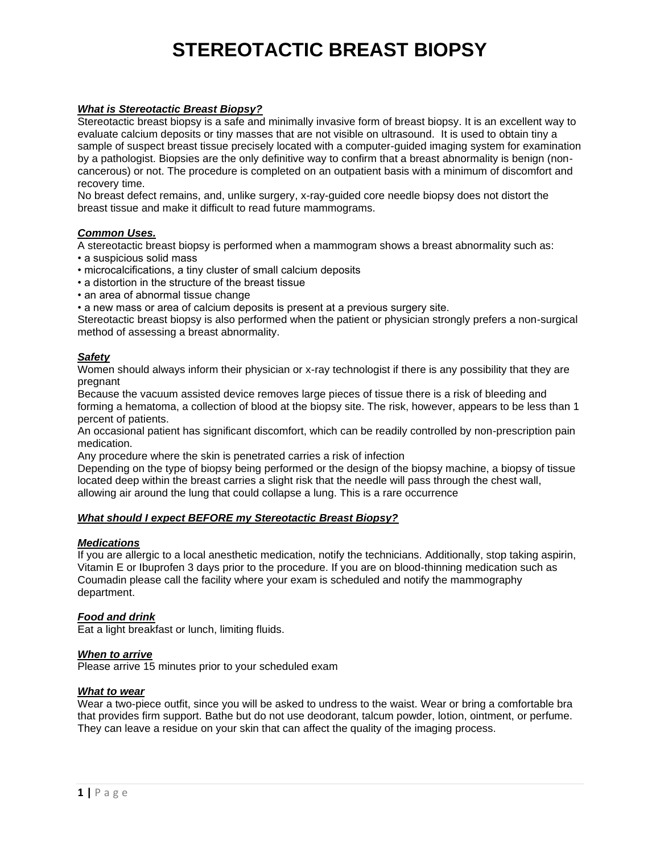# **STEREOTACTIC BREAST BIOPSY**

# *What is Stereotactic Breast Biopsy?*

Stereotactic breast biopsy is a safe and minimally invasive form of breast biopsy. It is an excellent way to evaluate calcium deposits or tiny masses that are not visible on ultrasound. It is used to obtain tiny a sample of suspect breast tissue precisely located with a computer-guided imaging system for examination by a pathologist. Biopsies are the only definitive way to confirm that a breast abnormality is benign (noncancerous) or not. The procedure is completed on an outpatient basis with a minimum of discomfort and recovery time.

No breast defect remains, and, unlike surgery, x-ray-guided core needle biopsy does not distort the breast tissue and make it difficult to read future mammograms.

## *Common Uses.*

A stereotactic breast biopsy is performed when a mammogram shows a breast abnormality such as:

- a suspicious solid mass
- microcalcifications, a tiny cluster of small calcium deposits
- a distortion in the structure of the breast tissue
- an area of abnormal tissue change
- a new mass or area of calcium deposits is present at a previous surgery site.

Stereotactic breast biopsy is also performed when the patient or physician strongly prefers a non-surgical method of assessing a breast abnormality.

## *Safety*

Women should always inform their physician or x-ray technologist if there is any possibility that they are pregnant

Because the vacuum assisted device removes large pieces of tissue there is a risk of bleeding and forming a hematoma, a collection of blood at the biopsy site. The risk, however, appears to be less than 1 percent of patients.

An occasional patient has significant discomfort, which can be readily controlled by non-prescription pain medication.

Any procedure where the skin is penetrated carries a risk of infection

Depending on the type of biopsy being performed or the design of the biopsy machine, a biopsy of tissue located deep within the breast carries a slight risk that the needle will pass through the chest wall, allowing air around the lung that could collapse a lung. This is a rare occurrence

## *What should I expect BEFORE my Stereotactic Breast Biopsy?*

#### *Medications*

If you are allergic to a local anesthetic medication, notify the technicians. Additionally, stop taking aspirin, Vitamin E or Ibuprofen 3 days prior to the procedure. If you are on blood-thinning medication such as Coumadin please call the facility where your exam is scheduled and notify the mammography department.

#### *Food and drink*

Eat a light breakfast or lunch, limiting fluids.

#### *When to arrive*

Please arrive 15 minutes prior to your scheduled exam

## *What to wear*

Wear a two-piece outfit, since you will be asked to undress to the waist. Wear or bring a comfortable bra that provides firm support. Bathe but do not use deodorant, talcum powder, lotion, ointment, or perfume. They can leave a residue on your skin that can affect the quality of the imaging process.